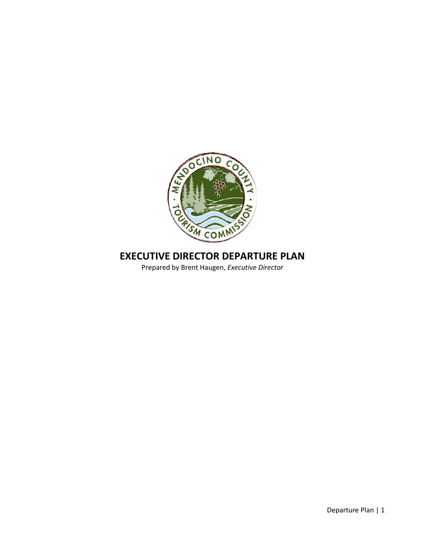

# **EXECUTIVE DIRECTOR DEPARTURE PLAN**

Prepared by Brent Haugen, *Executive Director*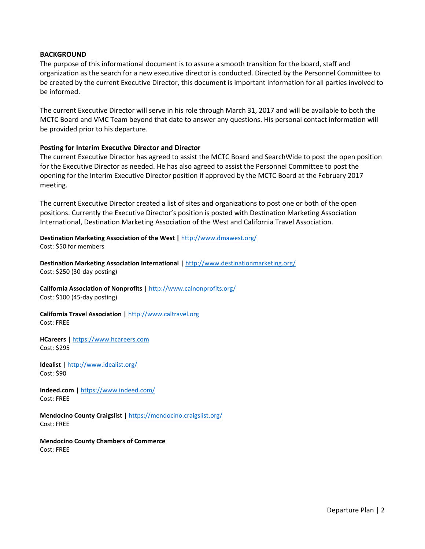#### **BACKGROUND**

The purpose of this informational document is to assure a smooth transition for the board, staff and organization as the search for a new executive director is conducted. Directed by the Personnel Committee to be created by the current Executive Director, this document is important information for all parties involved to be informed.

The current Executive Director will serve in his role through March 31, 2017 and will be available to both the MCTC Board and VMC Team beyond that date to answer any questions. His personal contact information will be provided prior to his departure.

#### **Posting for Interim Executive Director and Director**

The current Executive Director has agreed to assist the MCTC Board and SearchWide to post the open position for the Executive Director as needed. He has also agreed to assist the Personnel Committee to post the opening for the Interim Executive Director position if approved by the MCTC Board at the February 2017 meeting.

The current Executive Director created a list of sites and organizations to post one or both of the open positions. Currently the Executive Director's position is posted with Destination Marketing Association International, Destination Marketing Association of the West and California Travel Association.

**Destination Marketing Association of the West |** <http://www.dmawest.org/> Cost: \$50 for members

**Destination Marketing Association International |** <http://www.destinationmarketing.org/> Cost: \$250 (30-day posting)

**California Association of Nonprofits |** <http://www.calnonprofits.org/> Cost: \$100 (45-day posting)

**California Travel Association |** [http://www.caltravel.org](http://www.caltravel.org/)  Cost: FREE

**HCareers |** [https://www.hcareers.com](https://www.hcareers.com/) Cost: \$295

**Idealist |** <http://www.idealist.org/> Cost: \$90

**Indeed.com |** <https://www.indeed.com/> Cost: FREE

**Mendocino County Craigslist |** <https://mendocino.craigslist.org/> Cost: FREE

**Mendocino County Chambers of Commerce** Cost: FREE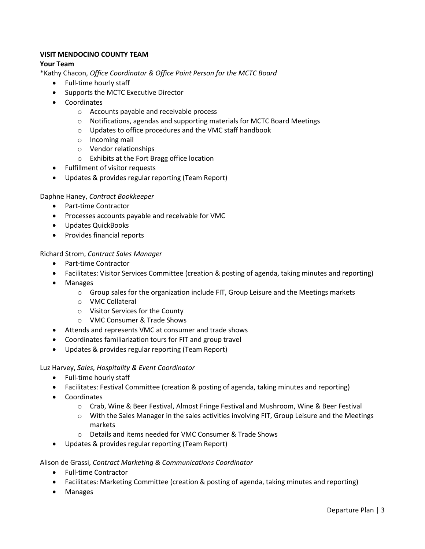# **VISIT MENDOCINO COUNTY TEAM**

# **Your Team**

\*Kathy Chacon, *Office Coordinator & Office Point Person for the MCTC Board*

- Full-time hourly staff
- Supports the MCTC Executive Director
- Coordinates
	- o Accounts payable and receivable process
	- $\circ$  Notifications, agendas and supporting materials for MCTC Board Meetings
	- o Updates to office procedures and the VMC staff handbook
	- o Incoming mail
	- o Vendor relationships
	- o Exhibits at the Fort Bragg office location
- Fulfillment of visitor requests
- Updates & provides regular reporting (Team Report)

# Daphne Haney, *Contract Bookkeeper*

- Part-time Contractor
- Processes accounts payable and receivable for VMC
- Updates QuickBooks
- Provides financial reports

# Richard Strom, *Contract Sales Manager*

- Part-time Contractor
- Facilitates: Visitor Services Committee (creation & posting of agenda, taking minutes and reporting)
- Manages
	- $\circ$  Group sales for the organization include FIT, Group Leisure and the Meetings markets
	- o VMC Collateral
	- o Visitor Services for the County
	- o VMC Consumer & Trade Shows
- Attends and represents VMC at consumer and trade shows
- Coordinates familiarization tours for FIT and group travel
- Updates & provides regular reporting (Team Report)

# Luz Harvey, *Sales, Hospitality & Event Coordinator*

- Full-time hourly staff
- Facilitates: Festival Committee (creation & posting of agenda, taking minutes and reporting)
- Coordinates
	- o Crab, Wine & Beer Festival, Almost Fringe Festival and Mushroom, Wine & Beer Festival
	- o With the Sales Manager in the sales activities involving FIT, Group Leisure and the Meetings markets
	- o Details and items needed for VMC Consumer & Trade Shows
- Updates & provides regular reporting (Team Report)

# Alison de Grassi, *Contract Marketing & Communications Coordinator*

- Full-time Contractor
- Facilitates: Marketing Committee (creation & posting of agenda, taking minutes and reporting)
- Manages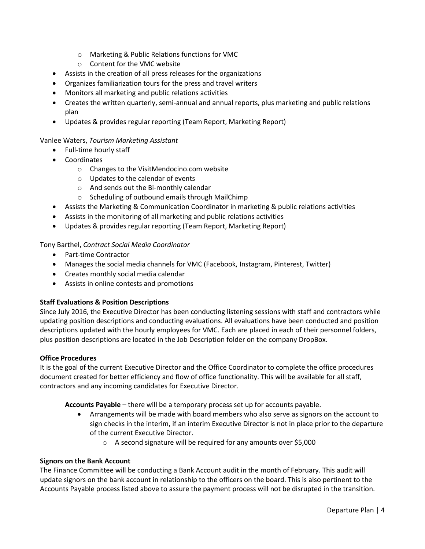- o Marketing & Public Relations functions for VMC
- o Content for the VMC website
- Assists in the creation of all press releases for the organizations
- Organizes familiarization tours for the press and travel writers
- Monitors all marketing and public relations activities
- Creates the written quarterly, semi-annual and annual reports, plus marketing and public relations plan
- Updates & provides regular reporting (Team Report, Marketing Report)

# Vanlee Waters, *Tourism Marketing Assistant*

- Full-time hourly staff
- Coordinates
	- o Changes to the VisitMendocino.com website
	- o Updates to the calendar of events
	- o And sends out the Bi-monthly calendar
	- o Scheduling of outbound emails through MailChimp
- Assists the Marketing & Communication Coordinator in marketing & public relations activities
- Assists in the monitoring of all marketing and public relations activities
- Updates & provides regular reporting (Team Report, Marketing Report)

# Tony Barthel, *Contract Social Media Coordinator*

- Part-time Contractor
- Manages the social media channels for VMC (Facebook, Instagram, Pinterest, Twitter)
- Creates monthly social media calendar
- Assists in online contests and promotions

# **Staff Evaluations & Position Descriptions**

Since July 2016, the Executive Director has been conducting listening sessions with staff and contractors while updating position descriptions and conducting evaluations. All evaluations have been conducted and position descriptions updated with the hourly employees for VMC. Each are placed in each of their personnel folders, plus position descriptions are located in the Job Description folder on the company DropBox.

# **Office Procedures**

It is the goal of the current Executive Director and the Office Coordinator to complete the office procedures document created for better efficiency and flow of office functionality. This will be available for all staff, contractors and any incoming candidates for Executive Director.

**Accounts Payable** – there will be a temporary process set up for accounts payable.

- Arrangements will be made with board members who also serve as signors on the account to sign checks in the interim, if an interim Executive Director is not in place prior to the departure of the current Executive Director.
	- o A second signature will be required for any amounts over \$5,000

# **Signors on the Bank Account**

The Finance Committee will be conducting a Bank Account audit in the month of February. This audit will update signors on the bank account in relationship to the officers on the board. This is also pertinent to the Accounts Payable process listed above to assure the payment process will not be disrupted in the transition.